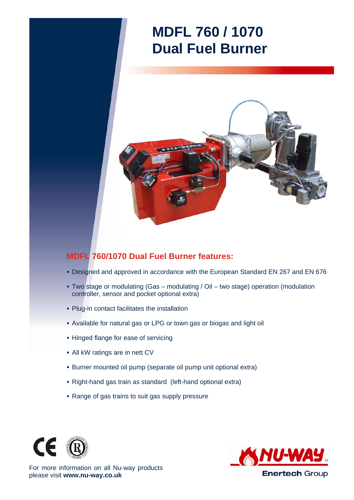## **MDFL 760 / 1070 Dual Fuel Burner**



## **MDFL 760/1070 Dual Fuel Burner features:**

- Designed and approved in accordance with the European Standard EN 267 and EN 676
- Two stage or modulating (Gas modulating / Oil two stage) operation (modulation controller, sensor and pocket optional extra)
- Plug-in contact facilitates the installation
- Available for natural gas or LPG or town gas or biogas and light oil
- **Hinged flange for ease of servicing**
- All kW ratings are in nett CV
- Burner mounted oil pump (separate oil pump unit optional extra)
- Right-hand gas train as standard (left-hand optional extra)
- Range of gas trains to suit gas supply pressure





For more information on all Nu-way products please visit **www.nu-way.co.uk**